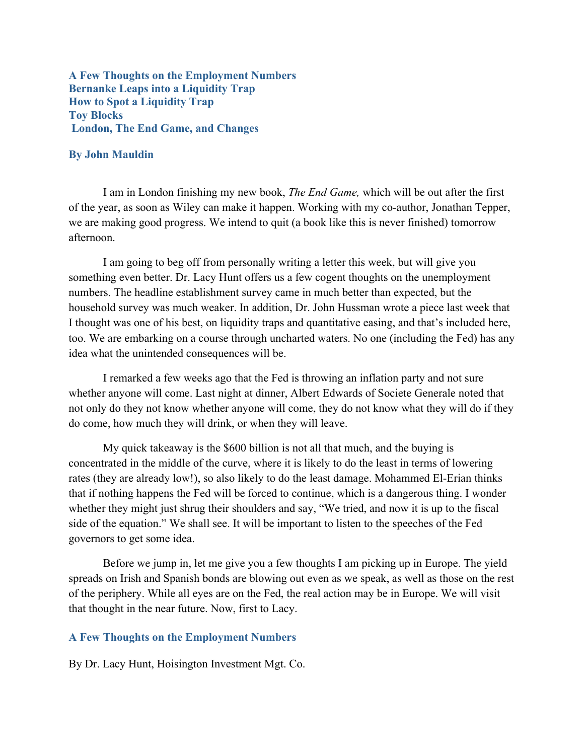A Few Thoughts on the Employment Numbers Bernanke Leaps into a Liquidity Trap How to Spot a Liquidity Trap Toy Blocks London, The End Game, and Changes

#### By John Mauldin

I am in London finishing my new book, *The End Game,* which will be out after the first of the year, as soon as Wiley can make it happen. Working with my co-author, Jonathan Tepper, we are making good progress. We intend to quit (a book like this is never finished) tomorrow afternoon.

I am going to beg off from personally writing a letter this week, but will give you something even better. Dr. Lacy Hunt offers us a few cogent thoughts on the unemployment numbers. The headline establishment survey came in much better than expected, but the household survey was much weaker. In addition, Dr. John Hussman wrote a piece last week that I thought was one of his best, on liquidity traps and quantitative easing, and that's included here, too. We are embarking on a course through uncharted waters. No one (including the Fed) has any idea what the unintended consequences will be.

I remarked a few weeks ago that the Fed is throwing an inflation party and not sure whether anyone will come. Last night at dinner, Albert Edwards of Societe Generale noted that not only do they not know whether anyone will come, they do not know what they will do if they do come, how much they will drink, or when they will leave.

My quick takeaway is the \$600 billion is not all that much, and the buying is concentrated in the middle of the curve, where it is likely to do the least in terms of lowering rates (they are already low!), so also likely to do the least damage. Mohammed El-Erian thinks that if nothing happens the Fed will be forced to continue, which is a dangerous thing. I wonder whether they might just shrug their shoulders and say, "We tried, and now it is up to the fiscal side of the equation." We shall see. It will be important to listen to the speeches of the Fed governors to get some idea.

Before we jump in, let me give you a few thoughts I am picking up in Europe. The yield spreads on Irish and Spanish bonds are blowing out even as we speak, as well as those on the rest of the periphery. While all eyes are on the Fed, the real action may be in Europe. We will visit that thought in the near future. Now, first to Lacy.

#### A Few Thoughts on the Employment Numbers

By Dr. Lacy Hunt, Hoisington Investment Mgt. Co.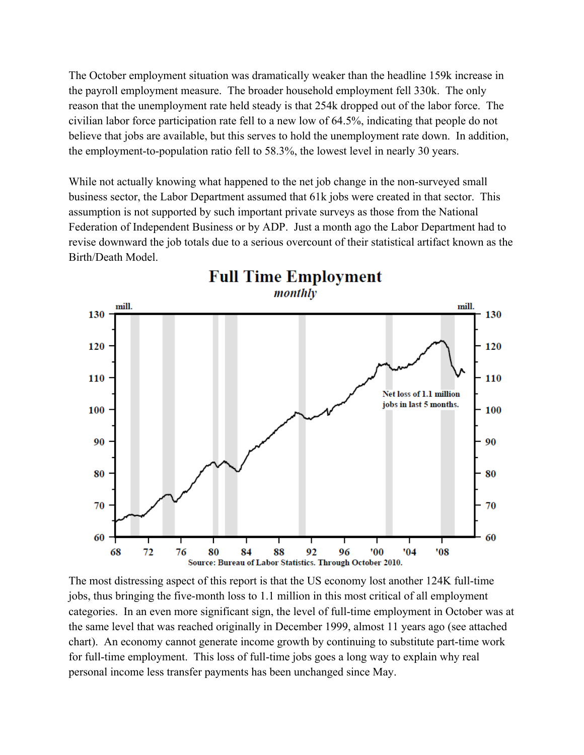The October employment situation was dramatically weaker than the headline 159k increase in the payroll employment measure. The broader household employment fell 330k. The only reason that the unemployment rate held steady is that 254k dropped out of the labor force. The civilian labor force participation rate fell to a new low of 64.5%, indicating that people do not believe that jobs are available, but this serves to hold the unemployment rate down. In addition, the employment-to-population ratio fell to 58.3%, the lowest level in nearly 30 years.

While not actually knowing what happened to the net job change in the non-surveyed small business sector, the Labor Department assumed that 61k jobs were created in that sector. This assumption is not supported by such important private surveys as those from the National Federation of Independent Business or by ADP. Just a month ago the Labor Department had to revise downward the job totals due to a serious overcount of their statistical artifact known as the Birth/Death Model.



The most distressing aspect of this report is that the US economy lost another 124K full-time jobs, thus bringing the five-month loss to 1.1 million in this most critical of all employment categories. In an even more significant sign, the level of full-time employment in October was at the same level that was reached originally in December 1999, almost 11 years ago (see attached chart). An economy cannot generate income growth by continuing to substitute part-time work for full-time employment. This loss of full-time jobs goes a long way to explain why real personal income less transfer payments has been unchanged since May.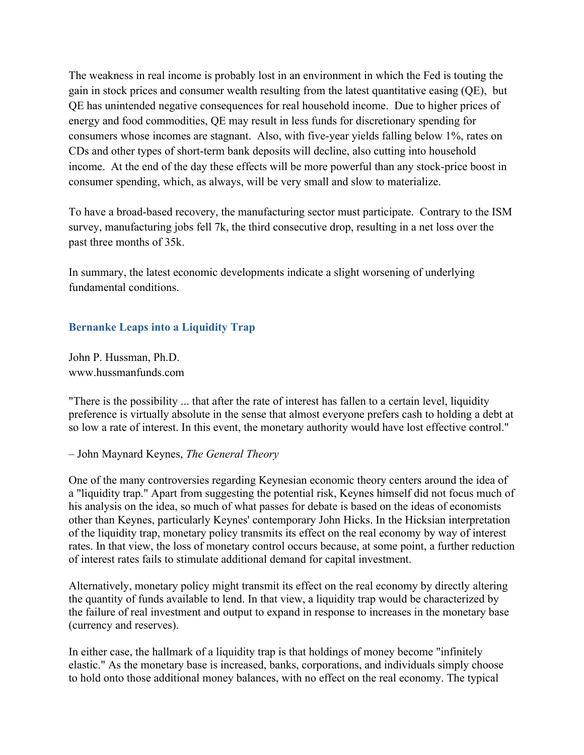The weakness in real income is probably lost in an environment in which the Fed is touting the gain in stock prices and consumer wealth resulting from the latest quantitative easing (QE), but QE has unintended negative consequences for real household income. Due to higher prices of energy and food commodities, QE may result in less funds for discretionary spending for consumers whose incomes are stagnant. Also, with five-year yields falling below 1%, rates on CDs and other types of short-term bank deposits will decline, also cutting into household income. At the end of the day these effects will be more powerful than any stock-price boost in consumer spending, which, as always, will be very small and slow to materialize.

To have a broad-based recovery, the manufacturing sector must participate. Contrary to the ISM survey, manufacturing jobs fell 7k, the third consecutive drop, resulting in a net loss over the past three months of 35k.

In summary, the latest economic developments indicate a slight worsening of underlying fundamental conditions.

# Bernanke Leaps into a Liquidity Trap

John P. Hussman, Ph.D. www.hussmanfunds.com

"There is the possibility ... that after the rate of interest has fallen to a certain level, liquidity preference is virtually absolute in the sense that almost everyone prefers cash to holding a debt at so low a rate of interest. In this event, the monetary authority would have lost effective control."

## – John Maynard Keynes, *The General Theory*

One of the many controversies regarding Keynesian economic theory centers around the idea of a "liquidity trap." Apart from suggesting the potential risk, Keynes himself did not focus much of his analysis on the idea, so much of what passes for debate is based on the ideas of economists other than Keynes, particularly Keynes' contemporary John Hicks. In the Hicksian interpretation of the liquidity trap, monetary policy transmits its effect on the real economy by way of interest rates. In that view, the loss of monetary control occurs because, at some point, a further reduction of interest rates fails to stimulate additional demand for capital investment.

Alternatively, monetary policy might transmit its effect on the real economy by directly altering the quantity of funds available to lend. In that view, a liquidity trap would be characterized by the failure of real investment and output to expand in response to increases in the monetary base (currency and reserves).

In either case, the hallmark of a liquidity trap is that holdings of money become "infinitely elastic." As the monetary base is increased, banks, corporations, and individuals simply choose to hold onto those additional money balances, with no effect on the real economy. The typical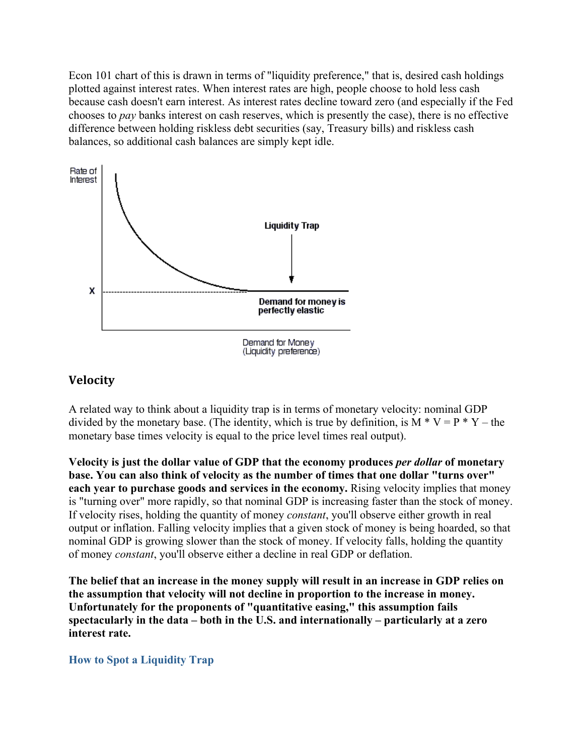Econ 101 chart of this is drawn in terms of "liquidity preference," that is, desired cash holdings plotted against interest rates. When interest rates are high, people choose to hold less cash because cash doesn't earn interest. As interest rates decline toward zero (and especially if the Fed chooses to *pay* banks interest on cash reserves, which is presently the case), there is no effective difference between holding riskless debt securities (say, Treasury bills) and riskless cash balances, so additional cash balances are simply kept idle.



## **Velocity**

A related way to think about a liquidity trap is in terms of monetary velocity: nominal GDP divided by the monetary base. (The identity, which is true by definition, is  $M * V = P * Y -$  the monetary base times velocity is equal to the price level times real output).

Velocity is just the dollar value of GDP that the economy produces *per dollar* of monetary base. You can also think of velocity as the number of times that one dollar "turns over" each year to purchase goods and services in the economy. Rising velocity implies that money is "turning over" more rapidly, so that nominal GDP is increasing faster than the stock of money. If velocity rises, holding the quantity of money *constant*, you'll observe either growth in real output or inflation. Falling velocity implies that a given stock of money is being hoarded, so that nominal GDP is growing slower than the stock of money. If velocity falls, holding the quantity of money *constant*, you'll observe either a decline in real GDP or deflation.

The belief that an increase in the money supply will result in an increase in GDP relies on the assumption that velocity will not decline in proportion to the increase in money. Unfortunately for the proponents of "quantitative easing," this assumption fails spectacularly in the data – both in the U.S. and internationally – particularly at a zero interest rate.

#### How to Spot a Liquidity Trap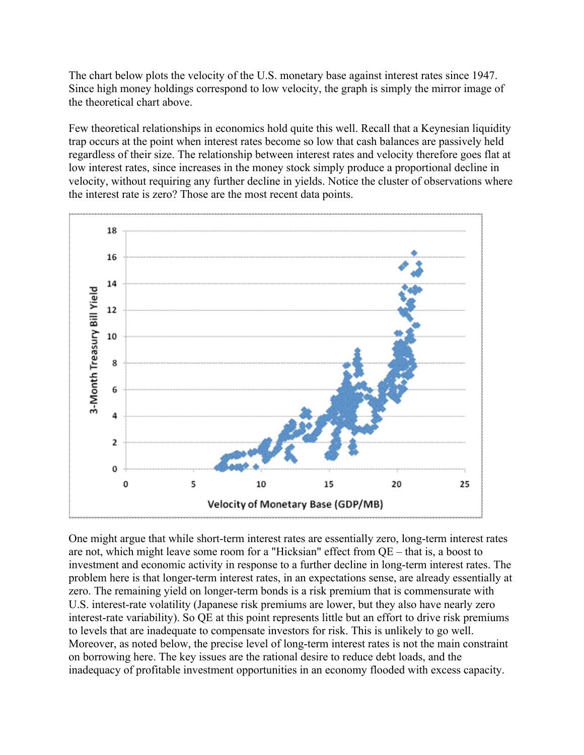The chart below plots the velocity of the U.S. monetary base against interest rates since 1947. Since high money holdings correspond to low velocity, the graph is simply the mirror image of the theoretical chart above.

Few theoretical relationships in economics hold quite this well. Recall that a Keynesian liquidity trap occurs at the point when interest rates become so low that cash balances are passively held regardless of their size. The relationship between interest rates and velocity therefore goes flat at low interest rates, since increases in the money stock simply produce a proportional decline in velocity, without requiring any further decline in yields. Notice the cluster of observations where the interest rate is zero? Those are the most recent data points.



One might argue that while short-term interest rates are essentially zero, long-term interest rates are not, which might leave some room for a "Hicksian" effect from QE – that is, a boost to investment and economic activity in response to a further decline in long-term interest rates. The problem here is that longer-term interest rates, in an expectations sense, are already essentially at zero. The remaining yield on longer-term bonds is a risk premium that is commensurate with U.S. interest-rate volatility (Japanese risk premiums are lower, but they also have nearly zero interest-rate variability). So QE at this point represents little but an effort to drive risk premiums to levels that are inadequate to compensate investors for risk. This is unlikely to go well. Moreover, as noted below, the precise level of long-term interest rates is not the main constraint on borrowing here. The key issues are the rational desire to reduce debt loads, and the inadequacy of profitable investment opportunities in an economy flooded with excess capacity.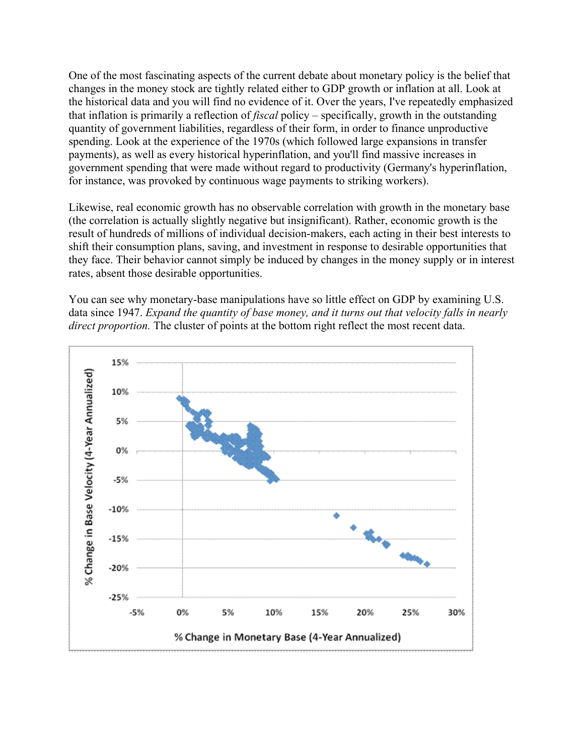One of the most fascinating aspects of the current debate about monetary policy is the belief that changes in the money stock are tightly related either to GDP growth or inflation at all. Look at the historical data and you will find no evidence of it. Over the years, I've repeatedly emphasized that inflation is primarily a reflection of *fiscal* policy – specifically, growth in the outstanding quantity of government liabilities, regardless of their form, in order to finance unproductive spending. Look at the experience of the 1970s (which followed large expansions in transfer payments), as well as every historical hyperinflation, and you'll find massive increases in government spending that were made without regard to productivity (Germany's hyperinflation, for instance, was provoked by continuous wage payments to striking workers).

Likewise, real economic growth has no observable correlation with growth in the monetary base (the correlation is actually slightly negative but insignificant). Rather, economic growth is the result of hundreds of millions of individual decision-makers, each acting in their best interests to shift their consumption plans, saving, and investment in response to desirable opportunities that they face. Their behavior cannot simply be induced by changes in the money supply or in interest rates, absent those desirable opportunities.

You can see why monetary-base manipulations have so little effect on GDP by examining U.S. data since 1947. *Expand the quantity of base money, and it turns out that velocity falls in nearly direct proportion.* The cluster of points at the bottom right reflect the most recent data.

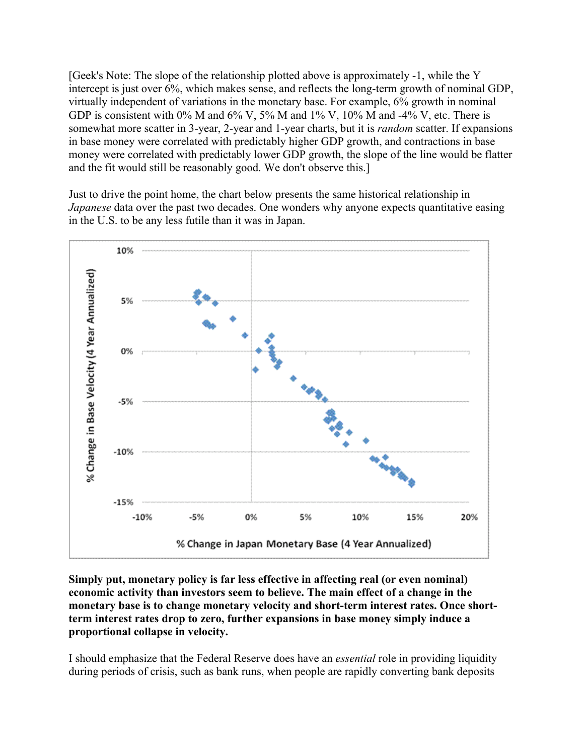[Geek's Note: The slope of the relationship plotted above is approximately -1, while the Y intercept is just over 6%, which makes sense, and reflects the long-term growth of nominal GDP, virtually independent of variations in the monetary base. For example, 6% growth in nominal GDP is consistent with 0% M and 6% V, 5% M and 1% V, 10% M and -4% V, etc. There is somewhat more scatter in 3-year, 2-year and 1-year charts, but it is *random* scatter. If expansions in base money were correlated with predictably higher GDP growth, and contractions in base money were correlated with predictably lower GDP growth, the slope of the line would be flatter and the fit would still be reasonably good. We don't observe this.]

Just to drive the point home, the chart below presents the same historical relationship in *Japanese* data over the past two decades. One wonders why anyone expects quantitative easing in the U.S. to be any less futile than it was in Japan.



Simply put, monetary policy is far less effective in affecting real (or even nominal) economic activity than investors seem to believe. The main effect of a change in the monetary base is to change monetary velocity and short-term interest rates. Once shortterm interest rates drop to zero, further expansions in base money simply induce a proportional collapse in velocity.

I should emphasize that the Federal Reserve does have an *essential* role in providing liquidity during periods of crisis, such as bank runs, when people are rapidly converting bank deposits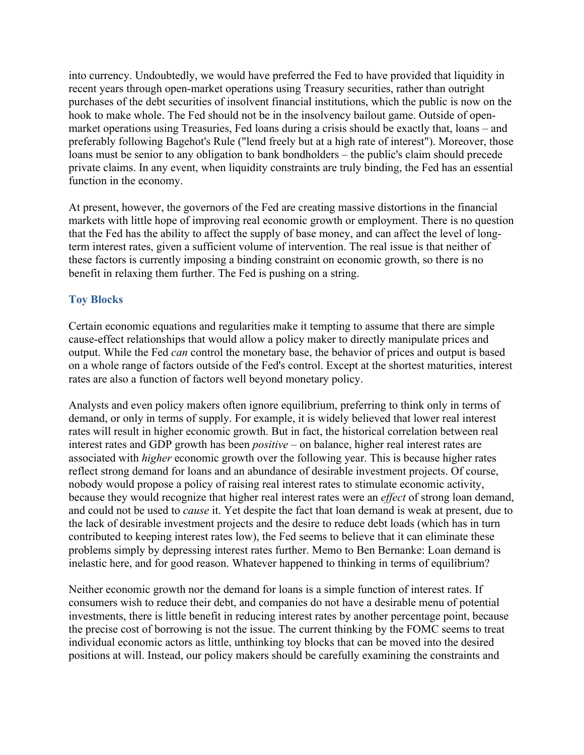into currency. Undoubtedly, we would have preferred the Fed to have provided that liquidity in recent years through open-market operations using Treasury securities, rather than outright purchases of the debt securities of insolvent financial institutions, which the public is now on the hook to make whole. The Fed should not be in the insolvency bailout game. Outside of openmarket operations using Treasuries, Fed loans during a crisis should be exactly that, loans – and preferably following Bagehot's Rule ("lend freely but at a high rate of interest"). Moreover, those loans must be senior to any obligation to bank bondholders – the public's claim should precede private claims. In any event, when liquidity constraints are truly binding, the Fed has an essential function in the economy.

At present, however, the governors of the Fed are creating massive distortions in the financial markets with little hope of improving real economic growth or employment. There is no question that the Fed has the ability to affect the supply of base money, and can affect the level of longterm interest rates, given a sufficient volume of intervention. The real issue is that neither of these factors is currently imposing a binding constraint on economic growth, so there is no benefit in relaxing them further. The Fed is pushing on a string.

## Toy Blocks

Certain economic equations and regularities make it tempting to assume that there are simple cause-effect relationships that would allow a policy maker to directly manipulate prices and output. While the Fed *can* control the monetary base, the behavior of prices and output is based on a whole range of factors outside of the Fed's control. Except at the shortest maturities, interest rates are also a function of factors well beyond monetary policy.

Analysts and even policy makers often ignore equilibrium, preferring to think only in terms of demand, or only in terms of supply. For example, it is widely believed that lower real interest rates will result in higher economic growth. But in fact, the historical correlation between real interest rates and GDP growth has been *positive* – on balance, higher real interest rates are associated with *higher* economic growth over the following year. This is because higher rates reflect strong demand for loans and an abundance of desirable investment projects. Of course, nobody would propose a policy of raising real interest rates to stimulate economic activity, because they would recognize that higher real interest rates were an *effect* of strong loan demand, and could not be used to *cause* it. Yet despite the fact that loan demand is weak at present, due to the lack of desirable investment projects and the desire to reduce debt loads (which has in turn contributed to keeping interest rates low), the Fed seems to believe that it can eliminate these problems simply by depressing interest rates further. Memo to Ben Bernanke: Loan demand is inelastic here, and for good reason. Whatever happened to thinking in terms of equilibrium?

Neither economic growth nor the demand for loans is a simple function of interest rates. If consumers wish to reduce their debt, and companies do not have a desirable menu of potential investments, there is little benefit in reducing interest rates by another percentage point, because the precise cost of borrowing is not the issue. The current thinking by the FOMC seems to treat individual economic actors as little, unthinking toy blocks that can be moved into the desired positions at will. Instead, our policy makers should be carefully examining the constraints and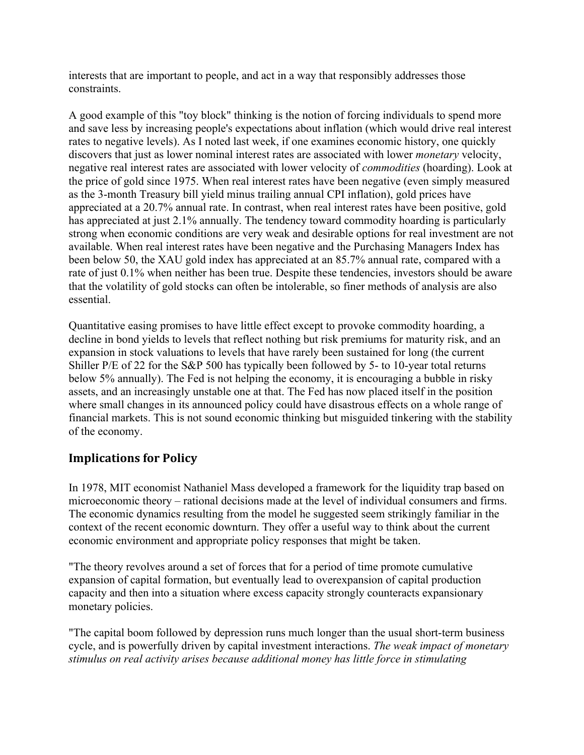interests that are important to people, and act in a way that responsibly addresses those constraints.

A good example of this "toy block" thinking is the notion of forcing individuals to spend more and save less by increasing people's expectations about inflation (which would drive real interest rates to negative levels). As I noted last week, if one examines economic history, one quickly discovers that just as lower nominal interest rates are associated with lower *monetary* velocity, negative real interest rates are associated with lower velocity of *commodities* (hoarding). Look at the price of gold since 1975. When real interest rates have been negative (even simply measured as the 3-month Treasury bill yield minus trailing annual CPI inflation), gold prices have appreciated at a 20.7% annual rate. In contrast, when real interest rates have been positive, gold has appreciated at just 2.1% annually. The tendency toward commodity hoarding is particularly strong when economic conditions are very weak and desirable options for real investment are not available. When real interest rates have been negative and the Purchasing Managers Index has been below 50, the XAU gold index has appreciated at an 85.7% annual rate, compared with a rate of just 0.1% when neither has been true. Despite these tendencies, investors should be aware that the volatility of gold stocks can often be intolerable, so finer methods of analysis are also essential.

Quantitative easing promises to have little effect except to provoke commodity hoarding, a decline in bond yields to levels that reflect nothing but risk premiums for maturity risk, and an expansion in stock valuations to levels that have rarely been sustained for long (the current Shiller P/E of 22 for the S&P 500 has typically been followed by 5- to 10-year total returns below 5% annually). The Fed is not helping the economy, it is encouraging a bubble in risky assets, and an increasingly unstable one at that. The Fed has now placed itself in the position where small changes in its announced policy could have disastrous effects on a whole range of financial markets. This is not sound economic thinking but misguided tinkering with the stability of the economy.

# **Implications for Policy**

In 1978, MIT economist Nathaniel Mass developed a framework for the liquidity trap based on microeconomic theory – rational decisions made at the level of individual consumers and firms. The economic dynamics resulting from the model he suggested seem strikingly familiar in the context of the recent economic downturn. They offer a useful way to think about the current economic environment and appropriate policy responses that might be taken.

"The theory revolves around a set of forces that for a period of time promote cumulative expansion of capital formation, but eventually lead to overexpansion of capital production capacity and then into a situation where excess capacity strongly counteracts expansionary monetary policies.

"The capital boom followed by depression runs much longer than the usual short-term business cycle, and is powerfully driven by capital investment interactions. *The weak impact of monetary stimulus on real activity arises because additional money has little force in stimulating*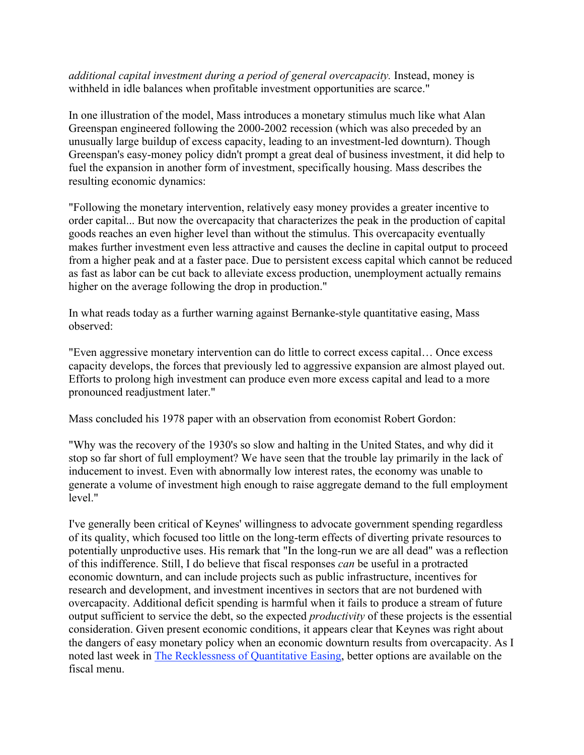*additional capital investment during a period of general overcapacity.* Instead, money is withheld in idle balances when profitable investment opportunities are scarce."

In one illustration of the model, Mass introduces a monetary stimulus much like what Alan Greenspan engineered following the 2000-2002 recession (which was also preceded by an unusually large buildup of excess capacity, leading to an investment-led downturn). Though Greenspan's easy-money policy didn't prompt a great deal of business investment, it did help to fuel the expansion in another form of investment, specifically housing. Mass describes the resulting economic dynamics:

"Following the monetary intervention, relatively easy money provides a greater incentive to order capital... But now the overcapacity that characterizes the peak in the production of capital goods reaches an even higher level than without the stimulus. This overcapacity eventually makes further investment even less attractive and causes the decline in capital output to proceed from a higher peak and at a faster pace. Due to persistent excess capital which cannot be reduced as fast as labor can be cut back to alleviate excess production, unemployment actually remains higher on the average following the drop in production."

In what reads today as a further warning against Bernanke-style quantitative easing, Mass observed:

"Even aggressive monetary intervention can do little to correct excess capital… Once excess capacity develops, the forces that previously led to aggressive expansion are almost played out. Efforts to prolong high investment can produce even more excess capital and lead to a more pronounced readjustment later."

Mass concluded his 1978 paper with an observation from economist Robert Gordon:

"Why was the recovery of the 1930's so slow and halting in the United States, and why did it stop so far short of full employment? We have seen that the trouble lay primarily in the lack of inducement to invest. Even with abnormally low interest rates, the economy was unable to generate a volume of investment high enough to raise aggregate demand to the full employment level."

I've generally been critical of Keynes' willingness to advocate government spending regardless of its quality, which focused too little on the long-term effects of diverting private resources to potentially unproductive uses. His remark that "In the long-run we are all dead" was a reflection of this indifference. Still, I do believe that fiscal responses *can* be useful in a protracted economic downturn, and can include projects such as public infrastructure, incentives for research and development, and investment incentives in sectors that are not burdened with overcapacity. Additional deficit spending is harmful when it fails to produce a stream of future output sufficient to service the debt, so the expected *productivity* of these projects is the essential consideration. Given present economic conditions, it appears clear that Keynes was right about the dangers of easy monetary policy when an economic downturn results from overcapacity. As I noted last week in The Recklessness of Quantitative Easing, better options are available on the fiscal menu.